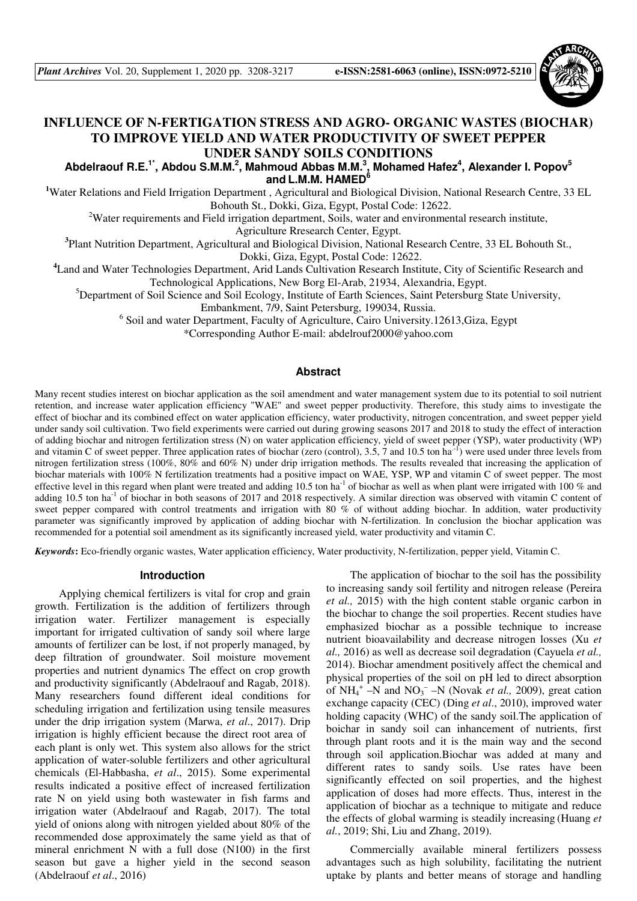

# **INFLUENCE OF N-FERTIGATION STRESS AND AGRO- ORGANIC WASTES (BIOCHAR) TO IMPROVE YIELD AND WATER PRODUCTIVITY OF SWEET PEPPER UNDER SANDY SOILS CONDITIONS**

**Abdelraouf R.E.1\*, Abdou S.M.M.<sup>2</sup> , Mahmoud Abbas M.M.<sup>3</sup> , Mohamed Hafez<sup>4</sup> , Alexander I. Popov<sup>5</sup> and L.M.M. HAMED<sup>6</sup>**

<sup>1</sup>Water Relations and Field Irrigation Department, Agricultural and Biological Division, National Research Centre, 33 EL Bohouth St., Dokki, Giza, Egypt, Postal Code: 12622.

<sup>2</sup>Water requirements and Field irrigation department, Soils, water and environmental research institute,

Agriculture Rresearch Center, Egypt.

**3** Plant Nutrition Department, Agricultural and Biological Division, National Research Centre, 33 EL Bohouth St., Dokki, Giza, Egypt, Postal Code: 12622.

**<sup>4</sup>**Land and Water Technologies Department, Arid Lands Cultivation Research Institute, City of Scientific Research and Technological Applications, New Borg El-Arab, 21934, Alexandria, Egypt.

<sup>5</sup>Department of Soil Science and Soil Ecology, Institute of Earth Sciences, Saint Petersburg State University,

Embankment, 7/9, Saint Petersburg, 199034, Russia.

<sup>6</sup> Soil and water Department, Faculty of Agriculture, Cairo University.12613, Giza, Egypt

\*Corresponding Author E-mail: abdelrouf2000@yahoo.com

### **Abstract**

Many recent studies interest on biochar application as the soil amendment and water management system due to its potential to soil nutrient retention, and increase water application efficiency "WAE" and sweet pepper productivity. Therefore, this study aims to investigate the effect of biochar and its combined effect on water application efficiency, water productivity, nitrogen concentration, and sweet pepper yield under sandy soil cultivation. Two field experiments were carried out during growing seasons 2017 and 2018 to study the effect of interaction of adding biochar and nitrogen fertilization stress (N) on water application efficiency, yield of sweet pepper (YSP), water productivity (WP) and vitamin C of sweet pepper. Three application rates of biochar (zero (control), 3.5, 7 and 10.5 ton ha<sup>-1</sup>) were used under three levels from nitrogen fertilization stress (100%, 80% and 60% N) under drip irrigation methods. The results revealed that increasing the application of biochar materials with 100% N fertilization treatments had a positive impact on WAE, YSP, WP and vitamin C of sweet pepper. The most effective level in this regard when plant were treated and adding 10.5 ton ha<sup>-1</sup> of biochar as well as when plant were irrigated with 100 % and adding 10.5 ton ha<sup>-1</sup> of biochar in both seasons of 2017 and 2018 respectively. A similar direction was observed with vitamin C content of sweet pepper compared with control treatments and irrigation with 80 % of without adding biochar. In addition, water productivity parameter was significantly improved by application of adding biochar with N-fertilization. In conclusion the biochar application was recommended for a potential soil amendment as its significantly increased yield, water productivity and vitamin C.

*Keywords***:** Eco-friendly organic wastes, Water application efficiency, Water productivity, N-fertilization, pepper yield, Vitamin C.

#### **Introduction**

Applying chemical fertilizers is vital for crop and grain growth. Fertilization is the addition of fertilizers through irrigation water. Fertilizer management is especially important for irrigated cultivation of sandy soil where large amounts of fertilizer can be lost, if not properly managed, by deep filtration of groundwater. Soil moisture movement properties and nutrient dynamics The effect on crop growth and productivity significantly (Abdelraouf and Ragab, 2018). Many researchers found different ideal conditions for scheduling irrigation and fertilization using tensile measures under the drip irrigation system (Marwa, *et al*., 2017). Drip irrigation is highly efficient because the direct root area of each plant is only wet. This system also allows for the strict application of water-soluble fertilizers and other agricultural chemicals (El-Habbasha, *et al*., 2015). Some experimental results indicated a positive effect of increased fertilization rate N on yield using both wastewater in fish farms and irrigation water (Abdelraouf and Ragab, 2017). The total yield of onions along with nitrogen yielded about 80% of the recommended dose approximately the same yield as that of mineral enrichment N with a full dose (N100) in the first season but gave a higher yield in the second season (Abdelraouf *et al*., 2016)

The application of biochar to the soil has the possibility to increasing sandy soil fertility and nitrogen release (Pereira *et al.,* 2015) with the high content stable organic carbon in the biochar to change the soil properties. Recent studies have emphasized biochar as a possible technique to increase nutrient bioavailability and decrease nitrogen losses (Xu *et al.,* 2016) as well as decrease soil degradation (Cayuela *et al.,* 2014). Biochar amendment positively affect the chemical and physical properties of the soil on pH led to direct absorption of  $NH_4^+$  –N and  $NO_3^-$  –N (Novak *et al.*, 2009), great cation exchange capacity (CEC) (Ding *et al*., 2010), improved water holding capacity (WHC) of the sandy soil.The application of boichar in sandy soil can inhancement of nutrients, first through plant roots and it is the main way and the second through soil application.Biochar was added at many and different rates to sandy soils. Use rates have been significantly effected on soil properties, and the highest application of doses had more effects. Thus, interest in the application of biochar as a technique to mitigate and reduce the effects of global warming is steadily increasing (Huang *et al.*, 2019; Shi, Liu and Zhang, 2019).

Commercially available mineral fertilizers possess advantages such as high solubility, facilitating the nutrient uptake by plants and better means of storage and handling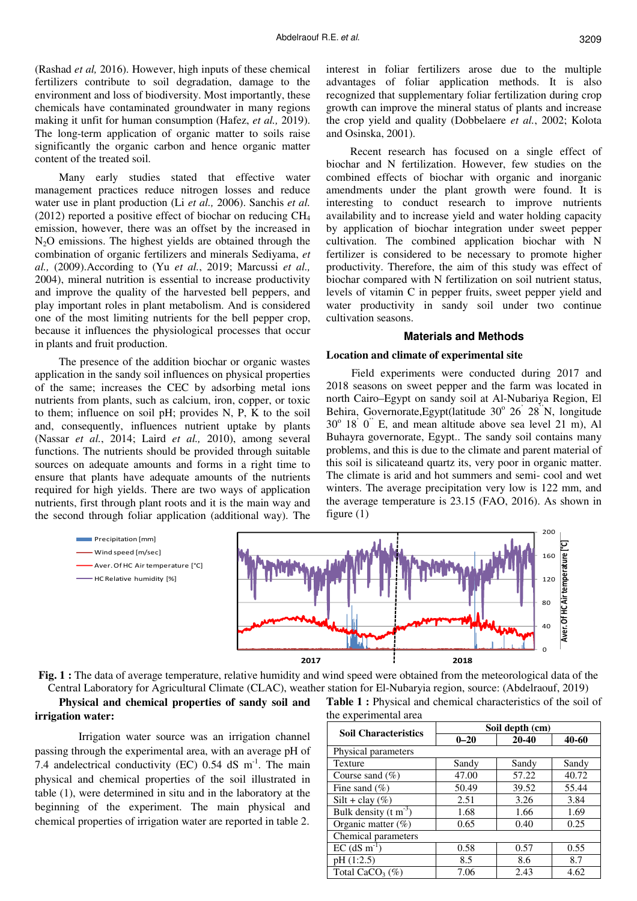(Rashad *et al,* 2016). However, high inputs of these chemical fertilizers contribute to soil degradation, damage to the environment and loss of biodiversity. Most importantly, these chemicals have contaminated groundwater in many regions making it unfit for human consumption (Hafez, *et al.,* 2019). The long-term application of organic matter to soils raise significantly the organic carbon and hence organic matter content of the treated soil.

Many early studies stated that effective water management practices reduce nitrogen losses and reduce water use in plant production (Li *et al.,* 2006). Sanchis *et al.* (2012) reported a positive effect of biochar on reducing  $CH<sub>4</sub>$ emission, however, there was an offset by the increased in N<sub>2</sub>O emissions. The highest yields are obtained through the combination of organic fertilizers and minerals Sediyama, *et al.,* (2009).According to (Yu *et al.*, 2019; Marcussi *et al.,* 2004), mineral nutrition is essential to increase productivity and improve the quality of the harvested bell peppers, and play important roles in plant metabolism. And is considered one of the most limiting nutrients for the bell pepper crop, because it influences the physiological processes that occur in plants and fruit production.

The presence of the addition biochar or organic wastes application in the sandy soil influences on physical properties of the same; increases the CEC by adsorbing metal ions nutrients from plants, such as calcium, iron, copper, or toxic to them; influence on soil pH; provides N, P, K to the soil and, consequently, influences nutrient uptake by plants (Nassar *et al.*, 2014; Laird *et al.,* 2010), among several functions. The nutrients should be provided through suitable sources on adequate amounts and forms in a right time to ensure that plants have adequate amounts of the nutrients required for high yields. There are two ways of application nutrients, first through plant roots and it is the main way and the second through foliar application (additional way). The

> **Precipitation [mm]** Wind speed [m/sec]

Aver. Of HC Air temperature [°C] - HC Relative humidity [%]

interest in foliar fertilizers arose due to the multiple advantages of foliar application methods. It is also recognized that supplementary foliar fertilization during crop growth can improve the mineral status of plants and increase the crop yield and quality (Dobbelaere *et al.*, 2002; Kolota and Osinska, 2001).

Recent research has focused on a single effect of biochar and N fertilization. However, few studies on the combined effects of biochar with organic and inorganic amendments under the plant growth were found. It is interesting to conduct research to improve nutrients availability and to increase yield and water holding capacity by application of biochar integration under sweet pepper cultivation. The combined application biochar with N fertilizer is considered to be necessary to promote higher productivity. Therefore, the aim of this study was effect of biochar compared with N fertilization on soil nutrient status, levels of vitamin C in pepper fruits, sweet pepper yield and water productivity in sandy soil under two continue cultivation seasons.

### **Materials and Methods**

### **Location and climate of experimental site**

 Field experiments were conducted during 2017 and 2018 seasons on sweet pepper and the farm was located in north Cairo–Egypt on sandy soil at Al-Nubariya Region, El Behira, Governorate, Egypt (latitude 30° 26<sup>'</sup> 28<sup>''</sup>N, longitude  $30^{\circ}$  18<sup>'</sup> 0<sup>"</sup> E, and mean altitude above sea level 21 m), Al Buhayra governorate, Egypt.. The sandy soil contains many problems, and this is due to the climate and parent material of this soil is silicateand quartz its, very poor in organic matter. The climate is arid and hot summers and semi- cool and wet winters. The average precipitation very low is 122 mm, and the average temperature is 23.15 (FAO, 2016). As shown in figure (1)



**Fig. 1 :** The data of average temperature, relative humidity and wind speed were obtained from the meteorological data of the Central Laboratory for Agricultural Climate (CLAC), weather station for El-Nubaryia region, source: (Abdelraouf, 2019)

# **Physical and chemical properties of sandy soil and irrigation water:**

 Irrigation water source was an irrigation channel passing through the experimental area, with an average pH of 7.4 andelectrical conductivity (EC)  $0.54$  dS m<sup>-1</sup>. The main physical and chemical properties of the soil illustrated in table (1), were determined in situ and in the laboratory at the beginning of the experiment. The main physical and chemical properties of irrigation water are reported in table 2.

**Table 1 :** Physical and chemical characteristics of the soil of the experimental area

| <b>Soil Characteristics</b>    | Soil depth (cm) |           |       |  |  |  |  |  |
|--------------------------------|-----------------|-----------|-------|--|--|--|--|--|
|                                | $0 - 20$        | $20 - 40$ | 40-60 |  |  |  |  |  |
| Physical parameters            |                 |           |       |  |  |  |  |  |
| <b>Texture</b>                 | Sandy           | Sandy     | Sandy |  |  |  |  |  |
| Course sand $(\%)$             | 47.00           | 57.22     | 40.72 |  |  |  |  |  |
| Fine sand $(\% )$              | 50.49           | 39.52     | 55.44 |  |  |  |  |  |
| Silt + clay $(\%)$             | 2.51            | 3.26      | 3.84  |  |  |  |  |  |
| Bulk density $(t m^{-3})$      | 1.68            | 1.66      | 1.69  |  |  |  |  |  |
| Organic matter $(\%)$          | 0.65            | 0.40      | 0.25  |  |  |  |  |  |
| Chemical parameters            |                 |           |       |  |  |  |  |  |
| $EC$ (dS m <sup>-1</sup>       | 0.58            | 0.57      | 0.55  |  |  |  |  |  |
| pH(1:2.5)                      | 8.5             | 8.6       | 8.7   |  |  |  |  |  |
| Total CaCO <sub>3</sub> $(\%)$ | 7.06            | 2.43      | 4.62  |  |  |  |  |  |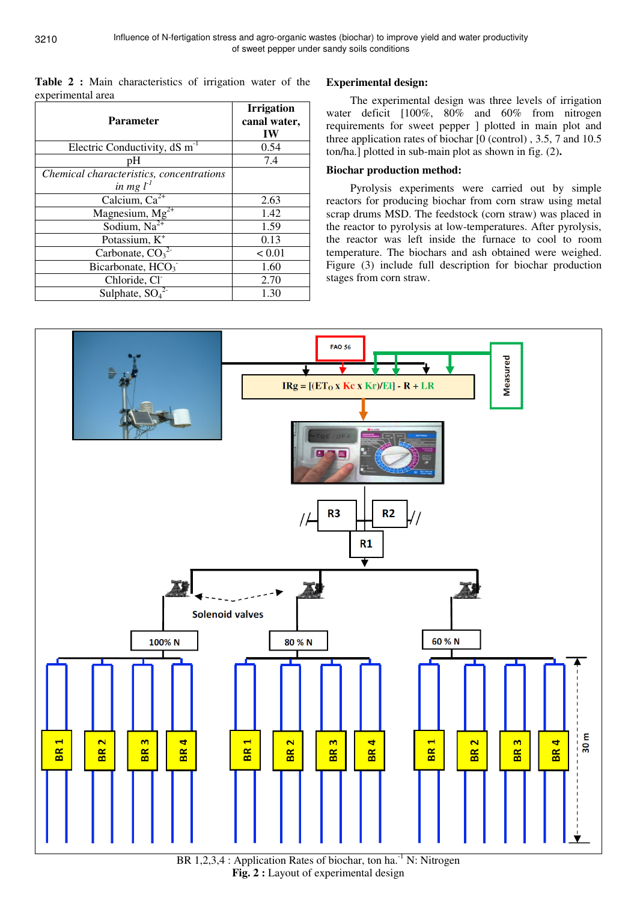**Table 2 :** Main characteristics of irrigation water of the experimental area

| <b>Parameter</b>                                        | <b>Irrigation</b><br>canal water,<br>IW |
|---------------------------------------------------------|-----------------------------------------|
| Electric Conductivity, $dS \, m^{-1}$                   | 0.54                                    |
| pH                                                      | 7.4                                     |
| Chemical characteristics, concentrations<br>in mg $l^1$ |                                         |
| Calcium, $Ca^{2+}$                                      | 2.63                                    |
| Magnesium, $\overline{Mg^{2+}}$                         | 1.42                                    |
| Sodium, $Na2+$                                          | 1.59                                    |
| Potassium, K <sup>+</sup>                               | 0.13                                    |
| Carbonate, $\overline{CO_3}^{2-}$                       | < 0.01                                  |
| Bicarbonate, HCO <sub>3</sub>                           | 1.60                                    |
| Chloride, Cl <sup>-</sup>                               | 2.70                                    |
| Sulphate, $SO42$                                        | 1.30                                    |

# **Experimental design:**

The experimental design was three levels of irrigation water deficit [100%, 80% and 60% from nitrogen requirements for sweet pepper ] plotted in main plot and three application rates of biochar [0 (control) , 3.5, 7 and 10.5 ton/ha.] plotted in sub-main plot as shown in fig. (2)**.** 

# **Biochar production method:**

Pyrolysis experiments were carried out by simple reactors for producing biochar from corn straw using metal scrap drums MSD. The feedstock (corn straw) was placed in the reactor to pyrolysis at low-temperatures. After pyrolysis, the reactor was left inside the furnace to cool to room temperature. The biochars and ash obtained were weighed. Figure (3) include full description for biochar production stages from corn straw.



BR 1,2,3,4 : Application Rates of biochar, ton  $ha^{-1}N$ : Nitrogen **Fig. 2 :** Layout of experimental design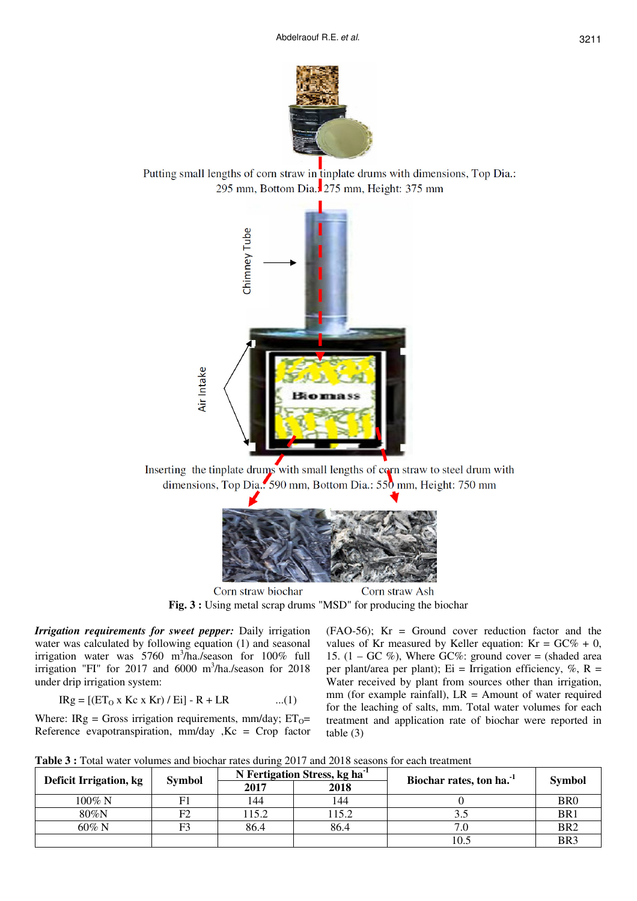Putting small lengths of corn straw in tinplate drums with dimensions, Top Dia.: 295 mm, Bottom Dia.: 275 mm, Height: 375 mm



Inserting the tinplate drums with small lengths of corn straw to steel drum with dimensions, Top Dia... 590 mm, Bottom Dia.: 550 mm, Height: 750 mm



Corn straw biochar Corn straw Ash **Fig. 3 :** Using metal scrap drums "MSD" for producing the biochar

*Irrigation requirements for sweet pepper:* Daily irrigation water was calculated by following equation (1) and seasonal irrigation water was 5760 m<sup>3</sup> /ha./season for 100% full irrigation "FI" for 2017 and 6000 m<sup>3</sup>/ha./season for 2018 under drip irrigation system:

$$
IRg = [(ET0 x Kc x Kr) / Ei] - R + LR
$$
 ...(1)

Where: IRg = Gross irrigation requirements, mm/day;  $ET_0=$ Reference evapotranspiration,  $mm/day$ ,  $Kc = Crop$  factor

(FAO-56); Kr = Ground cover reduction factor and the values of Kr measured by Keller equation:  $Kr = GC\% + 0$ , 15.  $(1 - GC\%)$ , Where GC%: ground cover = (shaded area per plant/area per plant); Ei = Irrigation efficiency,  $\%$ , R = Water received by plant from sources other than irrigation, mm (for example rainfall),  $LR =$  Amount of water required for the leaching of salts, mm. Total water volumes for each treatment and application rate of biochar were reported in table (3)

| Table 3 : Total water volumes and biochar rates during 2017 and 2018 seasons for each treatment |  |
|-------------------------------------------------------------------------------------------------|--|
|-------------------------------------------------------------------------------------------------|--|

| Deficit Irrigation, kg |               |       | N Fertigation Stress, kg ha <sup>-1</sup> | Biochar rates, ton ha. <sup>-1</sup> | <b>Symbol</b>   |  |
|------------------------|---------------|-------|-------------------------------------------|--------------------------------------|-----------------|--|
|                        | <b>Symbol</b> | 2017  | 2018                                      |                                      |                 |  |
| $100\%$ N              |               | 144   | 144                                       |                                      | BR <sub>0</sub> |  |
| 80%N                   |               | 115.2 | 15.2                                      |                                      | BR <sub>1</sub> |  |
| $60\%$ N               | ΓΩ            | 86.4  | 86.4                                      | 7.0                                  | BR <sub>2</sub> |  |
|                        |               |       |                                           | 10.5                                 | BR <sub>3</sub> |  |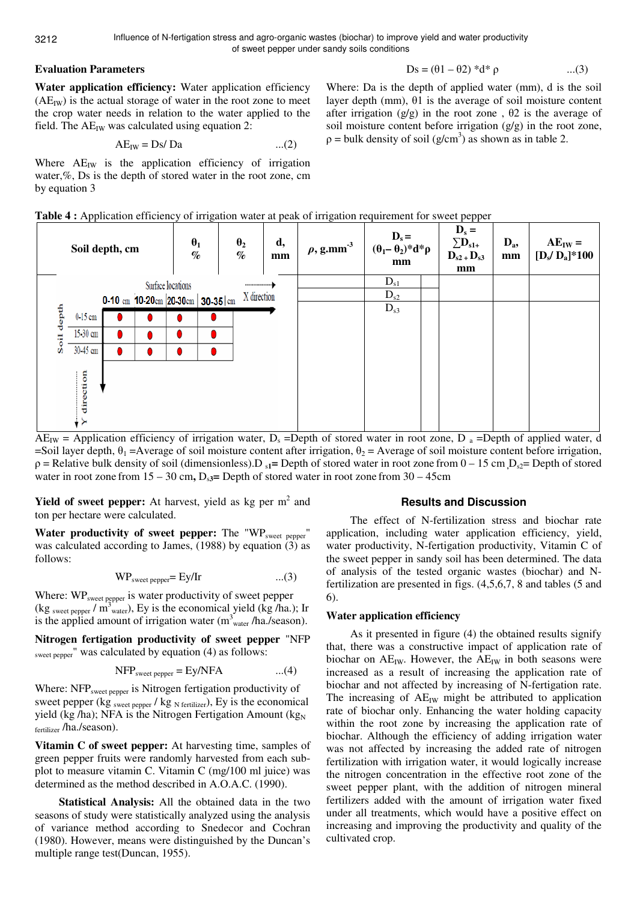# **Evaluation Parameters**

$$
Ds = (\theta 1 - \theta 2) * d * \rho \qquad \qquad ...(3)
$$

Where: Da is the depth of applied water (mm), d is the soil layer depth (mm), θ1 is the average of soil moisture content after irrigation (g/g) in the root zone,  $\theta$ 2 is the average of soil moisture content before irrigation  $(g/g)$  in the root zone,  $p =$  bulk density of soil (g/cm<sup>3</sup>) as shown as in table 2.

**Water application efficiency:** Water application efficiency  $(AE_{IW})$  is the actual storage of water in the root zone to meet the crop water needs in relation to the water applied to the field. The  $AE_{IW}$  was calculated using equation 2:

$$
AE_{IW} = Ds/Da \qquad ...(2)
$$

Where  $AE_{IW}$  is the application efficiency of irrigation water,%, Ds is the depth of stored water in the root zone, cm by equation 3

|--|

|                    |          | Soil depth, cm |                                          | $\theta_1$<br>$\%$ | $\theta_2$<br>$\%$   | d,<br>mm    | of his anon water at peak of his gancillone enter on ever pepper<br>$\rho$ , g.mm <sup>-3</sup>                                              | $\mathbf{D}_s =$<br>$(\theta_1 - \theta_2)^* d^* \rho$<br>mm | $D_s =$<br>$\sum_{s1+}$<br>$D_{s2}$ + $D_{s3}$<br>mm | $D_a$<br>mm | $AE_{IW} =$<br>$[D_s/D_a]*100$                                                   |
|--------------------|----------|----------------|------------------------------------------|--------------------|----------------------|-------------|----------------------------------------------------------------------------------------------------------------------------------------------|--------------------------------------------------------------|------------------------------------------------------|-------------|----------------------------------------------------------------------------------|
|                    |          |                |                                          | Surface locations  | ******************** |             |                                                                                                                                              | $D_{s1}$                                                     |                                                      |             |                                                                                  |
|                    |          |                | 0-10 cm $10-20$ cm $20-30$ cm $30-35$ cm |                    |                      | X direction |                                                                                                                                              | $D_{s2}$                                                     |                                                      |             |                                                                                  |
| depth              | 0-15 cm  |                |                                          |                    |                      |             |                                                                                                                                              | $D_{s3}$                                                     |                                                      |             |                                                                                  |
|                    | 15-30 cm |                |                                          |                    |                      |             |                                                                                                                                              |                                                              |                                                      |             |                                                                                  |
| Soil               | 30-45 cm |                |                                          |                    |                      |             |                                                                                                                                              |                                                              |                                                      |             |                                                                                  |
| $\Lambda$ $\Gamma$ | ction    |                |                                          |                    |                      |             | $\Lambda$ and in the set of $\mathcal{L}$ is the set of the set of $\mathcal{D}$ . $\mathcal{D}$ and $\mathcal{L}$ is a set of $\mathcal{D}$ |                                                              |                                                      |             | $\mathbf{D}$ and $\mathbf{E}$ and $\mathbf{E}$ and $\mathbf{E}$ and $\mathbf{E}$ |

 $AE_{IW}$  = Application efficiency of irrigation water,  $D_s$  =Depth of stored water in root zone, D  $_a$  =Depth of applied water, d =Soil layer depth,  $\theta_1$  =Average of soil moisture content after irrigation,  $\theta_2$  = Average of soil moisture content before irrigation,  $\rho$  = Relative bulk density of soil (dimensionless).  $D_{s1}$  = Depth of stored water in root zone from  $0 - 15$  cm  $D_{s2}$  = Depth of stored water in root zone from  $15 - 30$  cm,  $D_{\text{S}3}$ = Depth of stored water in root zone from  $30 - 45$ cm

**Yield of sweet pepper:** At harvest, yield as kg per m<sup>2</sup> and ton per hectare were calculated.

Water productivity of sweet pepper: The "WP<sub>sweet pepper</sub>" was calculated according to James, (1988) by equation (3) as follows:

$$
WPswect pepper = Ey/Ir
$$
 ...(3)

Where: WP<sub>sweet pepper</sub> is water productivity of sweet pepper (kg sweet pepper /  $\text{m}^3$  water), Ey is the economical yield (kg /ha.); Ir is the applied amount of irrigation water  $(m_{\text{water}}^3/ha$ ./season).

**Nitrogen fertigation productivity of sweet pepper** "NFP sweet pepper" was calculated by equation (4) as follows:

$$
NFPswect pepper = Ey/NFA \t...(4)
$$

Where: NFP<sub>sweet pepper</sub> is Nitrogen fertigation productivity of sweet pepper (kg sweet pepper / kg  $_{\text{N fertilizer}}$ ), Ey is the economical yield (kg /ha); NFA is the Nitrogen Fertigation Amount (kg<sub>N</sub> fertilizer /ha./season).

**Vitamin C of sweet pepper:** At harvesting time, samples of green pepper fruits were randomly harvested from each subplot to measure vitamin C. Vitamin C (mg/100 ml juice) was determined as the method described in A.O.A.C. (1990).

**Statistical Analysis:** All the obtained data in the two seasons of study were statistically analyzed using the analysis of variance method according to Snedecor and Cochran (1980). However, means were distinguished by the Duncan's multiple range test(Duncan, 1955).

# **Results and Discussion**

The effect of N-fertilization stress and biochar rate application, including water application efficiency, yield, water productivity, N-fertigation productivity, Vitamin C of the sweet pepper in sandy soil has been determined. The data of analysis of the tested organic wastes (biochar) and Nfertilization are presented in figs. (4,5,6,7, 8 and tables (5 and 6).

# **Water application efficiency**

As it presented in figure (4) the obtained results signify that, there was a constructive impact of application rate of biochar on  $AE_{IW}$ . However, the  $AE_{IW}$  in both seasons were increased as a result of increasing the application rate of biochar and not affected by increasing of N-fertigation rate. The increasing of  $AE_{IW}$  might be attributed to application rate of biochar only. Enhancing the water holding capacity within the root zone by increasing the application rate of biochar. Although the efficiency of adding irrigation water was not affected by increasing the added rate of nitrogen fertilization with irrigation water, it would logically increase the nitrogen concentration in the effective root zone of the sweet pepper plant, with the addition of nitrogen mineral fertilizers added with the amount of irrigation water fixed under all treatments, which would have a positive effect on increasing and improving the productivity and quality of the cultivated crop.

3212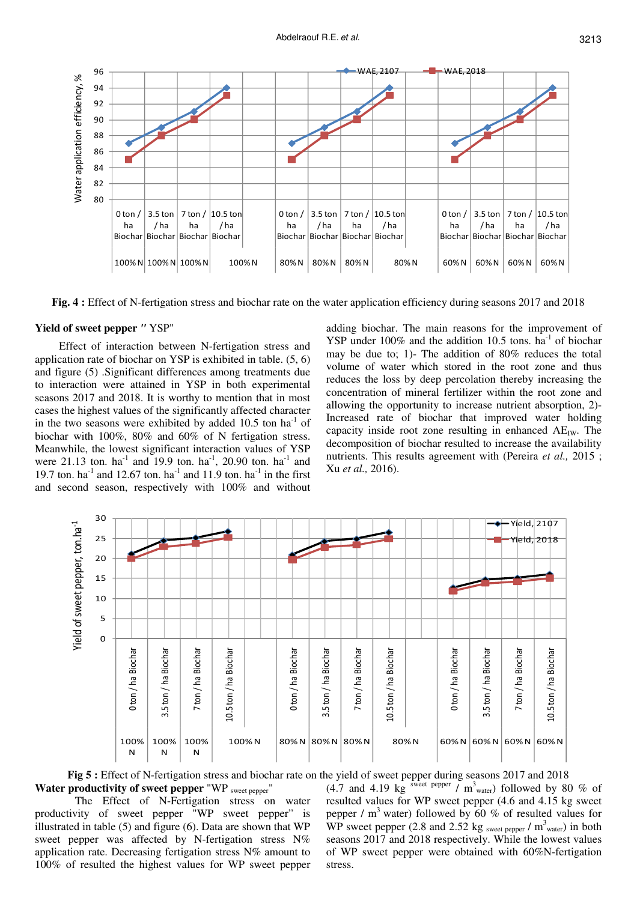

**Fig. 4 :** Effect of N-fertigation stress and biochar rate on the water application efficiency during seasons 2017 and 2018

## **Yield of sweet pepper** *"* YSP"

Effect of interaction between N-fertigation stress and application rate of biochar on YSP is exhibited in table. (5, 6) and figure (5) .Significant differences among treatments due to interaction were attained in YSP in both experimental seasons 2017 and 2018. It is worthy to mention that in most cases the highest values of the significantly affected character in the two seasons were exhibited by added  $10.5$  ton ha<sup>-1</sup> of biochar with 100%, 80% and 60% of N fertigation stress. Meanwhile, the lowest significant interaction values of YSP were 21.13 ton. ha<sup>-1</sup> and 19.9 ton. ha<sup>-1</sup>, 20.90 ton. ha<sup>-1</sup> and 19.7 ton. ha<sup>-1</sup> and 12.67 ton. ha<sup>-1</sup> and 11.9 ton. ha<sup>-1</sup> in the first and second season, respectively with 100% and without

adding biochar. The main reasons for the improvement of YSP under  $100\%$  and the addition 10.5 tons. ha<sup>-1</sup> of biochar may be due to; 1)- The addition of 80% reduces the total volume of water which stored in the root zone and thus reduces the loss by deep percolation thereby increasing the concentration of mineral fertilizer within the root zone and allowing the opportunity to increase nutrient absorption, 2)- Increased rate of biochar that improved water holding capacity inside root zone resulting in enhanced  $AE_{IW}$ . The decomposition of biochar resulted to increase the availability nutrients. This results agreement with (Pereira *et al.,* 2015 ; Xu *et al.,* 2016).



**Fig 5 :** Effect of N-fertigation stress and biochar rate on the yield of sweet pepper during seasons 2017 and 2018 **Water productivity of sweet pepper** "WP sweet pepper"

The Effect of N-Fertigation stress on water productivity of sweet pepper "WP sweet pepper" is illustrated in table (5) and figure (6). Data are shown that WP sweet pepper was affected by N-fertigation stress N% application rate. Decreasing fertigation stress N% amount to 100% of resulted the highest values for WP sweet pepper

(4.7 and 4.19 kg sweet pepper  $\overline{\smash{)}\,}$  m<sup>3</sup> water) followed by 80 % of resulted values for WP sweet pepper (4.6 and 4.15 kg sweet pepper /  $m<sup>3</sup>$  water) followed by 60 % of resulted values for WP sweet pepper (2.8 and 2.52 kg sweet pepper  $/m^3$  water) in both seasons 2017 and 2018 respectively. While the lowest values of WP sweet pepper were obtained with 60%N-fertigation stress.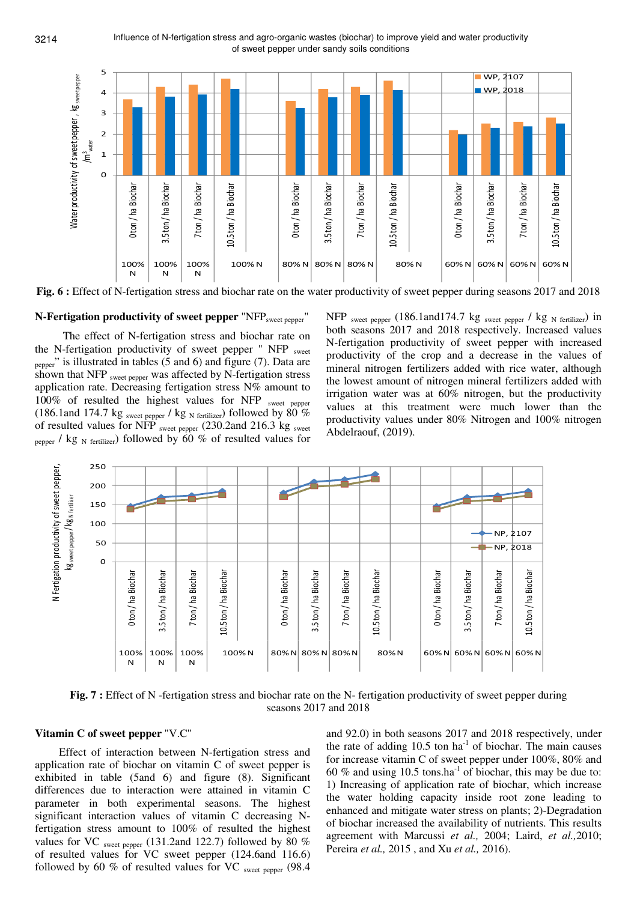

**Fig. 6 :** Effect of N-fertigation stress and biochar rate on the water productivity of sweet pepper during seasons 2017 and 2018

### **N-Fertigation productivity of sweet pepper "NFP<sub>sweet pepper</sub>"**

 The effect of N-fertigation stress and biochar rate on the N-fertigation productivity of sweet pepper " NFP sweet pepper" is illustrated in tables (5 and 6) and figure (7). Data are shown that NFP sweet pepper was affected by N-fertigation stress application rate. Decreasing fertigation stress N% amount to 100% of resulted the highest values for NFP sweet pepper (186.1and 174.7 kg sweet pepper / kg N fertilizer) followed by  $80\%$ of resulted values for NFP sweet pepper (230.2and 216.3 kg sweet pepper / kg  $_N$  fertilizer) followed by 60 % of resulted values for

 $NFP$  sweet pepper (186.1and174.7 kg sweet pepper / kg  $_{N}$  fertilizer) in both seasons 2017 and 2018 respectively. Increased values N-fertigation productivity of sweet pepper with increased productivity of the crop and a decrease in the values of mineral nitrogen fertilizers added with rice water, although the lowest amount of nitrogen mineral fertilizers added with irrigation water was at 60% nitrogen, but the productivity values at this treatment were much lower than the productivity values under 80% Nitrogen and 100% nitrogen Abdelraouf, (2019).



**Fig. 7 :** Effect of N -fertigation stress and biochar rate on the N- fertigation productivity of sweet pepper during seasons 2017 and 2018

## **Vitamin C of sweet pepper** "V.C"

Effect of interaction between N-fertigation stress and application rate of biochar on vitamin C of sweet pepper is exhibited in table (5and 6) and figure (8). Significant differences due to interaction were attained in vitamin C parameter in both experimental seasons. The highest significant interaction values of vitamin C decreasing Nfertigation stress amount to 100% of resulted the highest values for VC sweet pepper (131.2and 122.7) followed by 80  $%$ of resulted values for VC sweet pepper (124.6and 116.6) followed by 60 % of resulted values for VC sweet pepper  $(98.4)$ 

and 92.0) in both seasons 2017 and 2018 respectively, under the rate of adding  $10.5$  ton ha<sup>-1</sup> of biochar. The main causes for increase vitamin C of sweet pepper under 100%, 80% and 60 % and using 10.5 tons.ha<sup>-1</sup> of biochar, this may be due to: 1) Increasing of application rate of biochar, which increase the water holding capacity inside root zone leading to enhanced and mitigate water stress on plants; 2)-Degradation of biochar increased the availability of nutrients. This results agreement with Marcussi *et al.,* 2004; Laird, *et al.,*2010; Pereira *et al.,* 2015 , and Xu *et al.,* 2016).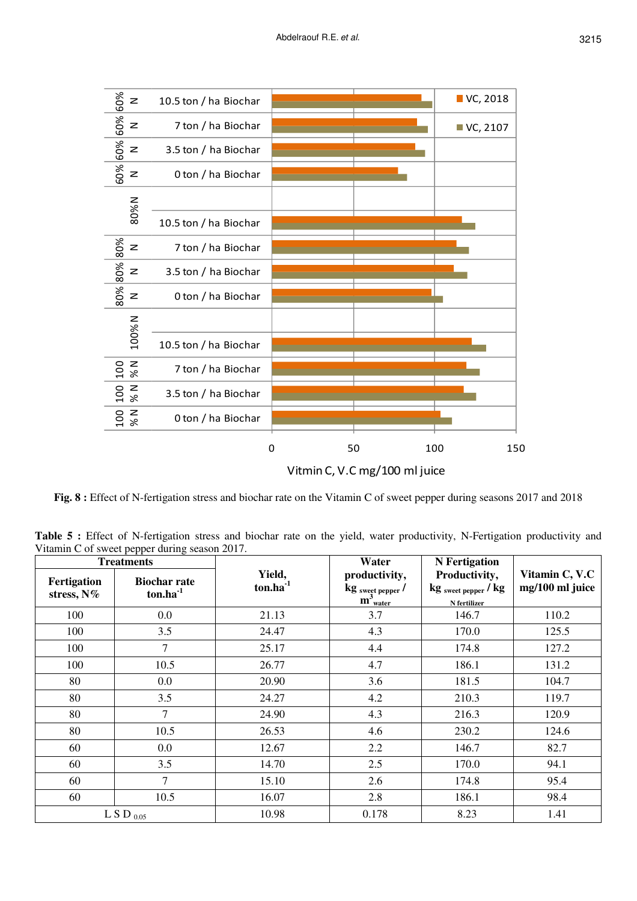

**Fig. 8 :** Effect of N-fertigation stress and biochar rate on the Vitamin C of sweet pepper during seasons 2017 and 2018

Table 5 : Effect of N-fertigation stress and biochar rate on the yield, water productivity, N-Fertigation productivity and Vitamin C of sweet pepper during season 2017.

| <b>Treatments</b>         |                                      |                         | Water                                                                                         | <b>N</b> Fertigation                                                        |                                   |
|---------------------------|--------------------------------------|-------------------------|-----------------------------------------------------------------------------------------------|-----------------------------------------------------------------------------|-----------------------------------|
| Fertigation<br>stress, N% | <b>Biochar rate</b><br>$ton.ha^{-1}$ | Yield,<br>$ton.ha^{-1}$ | productivity,<br>$\frac{\text{kg} {\text{sweet } \text{pepper}}}{\text{m}^3 {\text{water}} }$ | Productivity,<br>$\mathrm{kg}$ sweet pepper / $\mathrm{kg}$<br>N fertilizer | Vitamin C, V.C<br>mg/100 ml juice |
| 100                       | 0.0                                  | 21.13                   | 3.7                                                                                           | 146.7                                                                       | 110.2                             |
| 100                       | 3.5                                  | 24.47                   | 4.3                                                                                           | 170.0                                                                       | 125.5                             |
| 100                       | 7                                    | 25.17                   | 4.4                                                                                           | 174.8                                                                       | 127.2                             |
| 100                       | 10.5                                 | 26.77                   | 4.7                                                                                           | 186.1                                                                       | 131.2                             |
| 80                        | 0.0                                  | 20.90                   | 3.6                                                                                           | 181.5                                                                       | 104.7                             |
| 80                        | 3.5                                  | 24.27                   | 4.2                                                                                           | 210.3                                                                       | 119.7                             |
| 80                        | $\tau$                               | 24.90                   | 4.3                                                                                           | 216.3                                                                       | 120.9                             |
| 80                        | 10.5                                 | 26.53                   | 4.6                                                                                           | 230.2                                                                       | 124.6                             |
| 60                        | $0.0\,$                              | 12.67                   | 2.2                                                                                           | 146.7                                                                       | 82.7                              |
| 60                        | 3.5                                  | 14.70                   | 2.5                                                                                           | 170.0                                                                       | 94.1                              |
| 60                        | 7                                    | 15.10                   | 2.6                                                                                           | 174.8                                                                       | 95.4                              |
| 60                        | 10.5                                 | 16.07                   | 2.8                                                                                           | 186.1                                                                       | 98.4                              |
|                           | L S D $_{0.05}$                      | 10.98                   | 0.178                                                                                         | 8.23                                                                        | 1.41                              |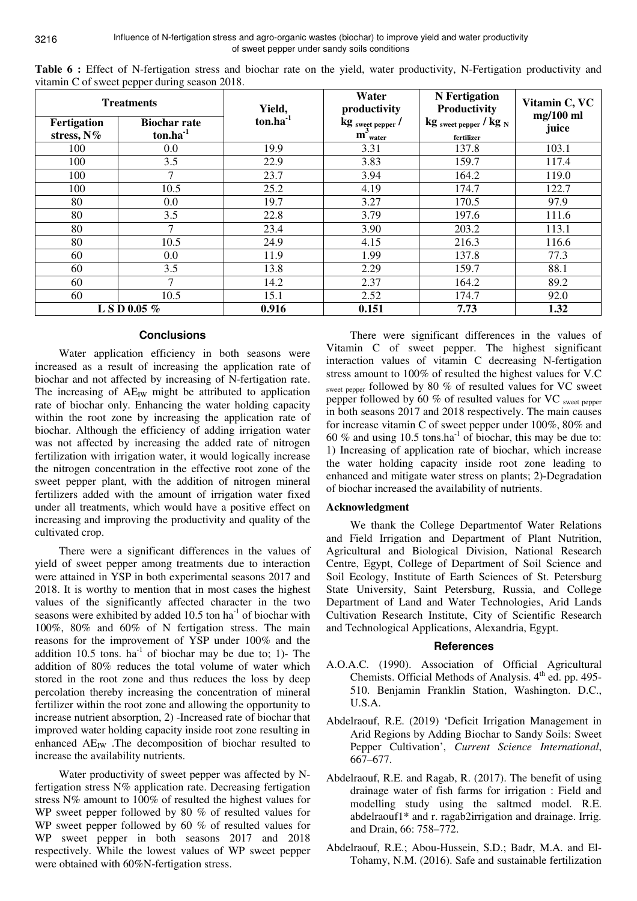|                           | <b>NAME OF SWEET PEPPER WELLING SERIOR 20101</b><br><b>Treatments</b> | Yield,     | Water<br>productivity                        | <b>N</b> Fertigation<br>Productivity     | Vitamin C, VC<br>$mg/100$ ml |  |
|---------------------------|-----------------------------------------------------------------------|------------|----------------------------------------------|------------------------------------------|------------------------------|--|
| Fertigation<br>stress, N% | <b>Biochar rate</b><br>$ton.ha^{-1}$                                  | $ton.ha-1$ | $\operatorname{kg}_{\text{swect\,pepper}}$ / | $\text{kg}$ sweet pepper / $\text{kg}$ N | juice                        |  |
|                           |                                                                       |            | $m_{\text{water}}$                           | fertilizer                               |                              |  |
| 100                       | $0.0\,$                                                               | 19.9       | 3.31                                         | 137.8                                    | 103.1                        |  |
| 100                       | 3.5                                                                   | 22.9       | 3.83                                         | 159.7                                    | 117.4                        |  |
| 100                       | 7                                                                     | 23.7       | 3.94                                         | 164.2                                    | 119.0                        |  |
| 100                       | 10.5                                                                  | 25.2       | 4.19                                         | 174.7                                    | 122.7                        |  |
| 80                        | $0.0\,$                                                               | 19.7       | 3.27                                         | 170.5                                    | 97.9                         |  |
| 80                        | 3.5                                                                   | 22.8       | 3.79                                         | 197.6                                    | 111.6                        |  |
| 80                        | $\tau$                                                                | 23.4       | 3.90                                         | 203.2                                    | 113.1                        |  |
| 80                        | 10.5                                                                  | 24.9       | 4.15                                         | 216.3                                    | 116.6                        |  |
| 60                        | $0.0\,$                                                               | 11.9       | 1.99                                         | 137.8                                    | 77.3                         |  |
| 60                        | 3.5                                                                   | 13.8       | 2.29                                         | 159.7                                    | 88.1                         |  |
| 60                        |                                                                       | 14.2       | 2.37                                         | 164.2                                    | 89.2                         |  |
| 60                        | 10.5                                                                  | 15.1       | 2.52                                         | 174.7                                    | 92.0                         |  |
| L S D 0.05 %              |                                                                       | 0.916      | 0.151                                        | 7.73                                     | 1.32                         |  |

**Table 6 :** Effect of N-fertigation stress and biochar rate on the yield, water productivity, N-Fertigation productivity and vitamin C of sweet pepper during season 2018.

### **Conclusions**

Water application efficiency in both seasons were increased as a result of increasing the application rate of biochar and not affected by increasing of N-fertigation rate. The increasing of  $AE_{IW}$  might be attributed to application rate of biochar only. Enhancing the water holding capacity within the root zone by increasing the application rate of biochar. Although the efficiency of adding irrigation water was not affected by increasing the added rate of nitrogen fertilization with irrigation water, it would logically increase the nitrogen concentration in the effective root zone of the sweet pepper plant, with the addition of nitrogen mineral fertilizers added with the amount of irrigation water fixed under all treatments, which would have a positive effect on increasing and improving the productivity and quality of the cultivated crop.

There were a significant differences in the values of yield of sweet pepper among treatments due to interaction were attained in YSP in both experimental seasons 2017 and 2018. It is worthy to mention that in most cases the highest values of the significantly affected character in the two seasons were exhibited by added 10.5 ton  $ha^{-1}$  of biochar with 100%, 80% and 60% of N fertigation stress. The main reasons for the improvement of YSP under 100% and the addition 10.5 tons.  $ha^{-1}$  of biochar may be due to; 1)- The addition of 80% reduces the total volume of water which stored in the root zone and thus reduces the loss by deep percolation thereby increasing the concentration of mineral fertilizer within the root zone and allowing the opportunity to increase nutrient absorption, 2) -Increased rate of biochar that improved water holding capacity inside root zone resulting in enhanced  $AE_{IW}$  . The decomposition of biochar resulted to increase the availability nutrients.

Water productivity of sweet pepper was affected by Nfertigation stress N% application rate. Decreasing fertigation stress N% amount to 100% of resulted the highest values for WP sweet pepper followed by 80 % of resulted values for WP sweet pepper followed by 60 % of resulted values for WP sweet pepper in both seasons 2017 and 2018 respectively. While the lowest values of WP sweet pepper were obtained with 60%N-fertigation stress.

There were significant differences in the values of Vitamin C of sweet pepper. The highest significant interaction values of vitamin C decreasing N-fertigation stress amount to 100% of resulted the highest values for V.C sweet pepper followed by 80 % of resulted values for VC sweet pepper followed by 60 % of resulted values for VC sweet pepper in both seasons 2017 and 2018 respectively. The main causes for increase vitamin C of sweet pepper under 100%, 80% and 60 % and using 10.5 tons.ha<sup>-1</sup> of biochar, this may be due to: 1) Increasing of application rate of biochar, which increase the water holding capacity inside root zone leading to enhanced and mitigate water stress on plants; 2)-Degradation of biochar increased the availability of nutrients.

## **Acknowledgment**

We thank the College Departmentof Water Relations and Field Irrigation and Department of Plant Nutrition, Agricultural and Biological Division, National Research Centre, Egypt, College of Department of Soil Science and Soil Ecology, Institute of Earth Sciences of St. Petersburg State University, Saint Petersburg, Russia, and College Department of Land and Water Technologies, Arid Lands Cultivation Research Institute, City of Scientific Research and Technological Applications, Alexandria, Egypt.

#### **References**

- A.O.A.C. (1990). Association of Official Agricultural Chemists. Official Methods of Analysis. 4<sup>th</sup> ed. pp. 495-510. Benjamin Franklin Station, Washington. D.C., U.S.A.
- Abdelraouf, R.E. (2019) 'Deficit Irrigation Management in Arid Regions by Adding Biochar to Sandy Soils: Sweet Pepper Cultivation', *Current Science International*, 667–677.
- Abdelraouf, R.E. and Ragab, R. (2017). The benefit of using drainage water of fish farms for irrigation : Field and modelling study using the saltmed model. R.E. abdelraouf1\* and r. ragab2irrigation and drainage. Irrig. and Drain, 66: 758–772.
- Abdelraouf, R.E.; Abou-Hussein, S.D.; Badr, M.A. and El-Tohamy, N.M. (2016). Safe and sustainable fertilization